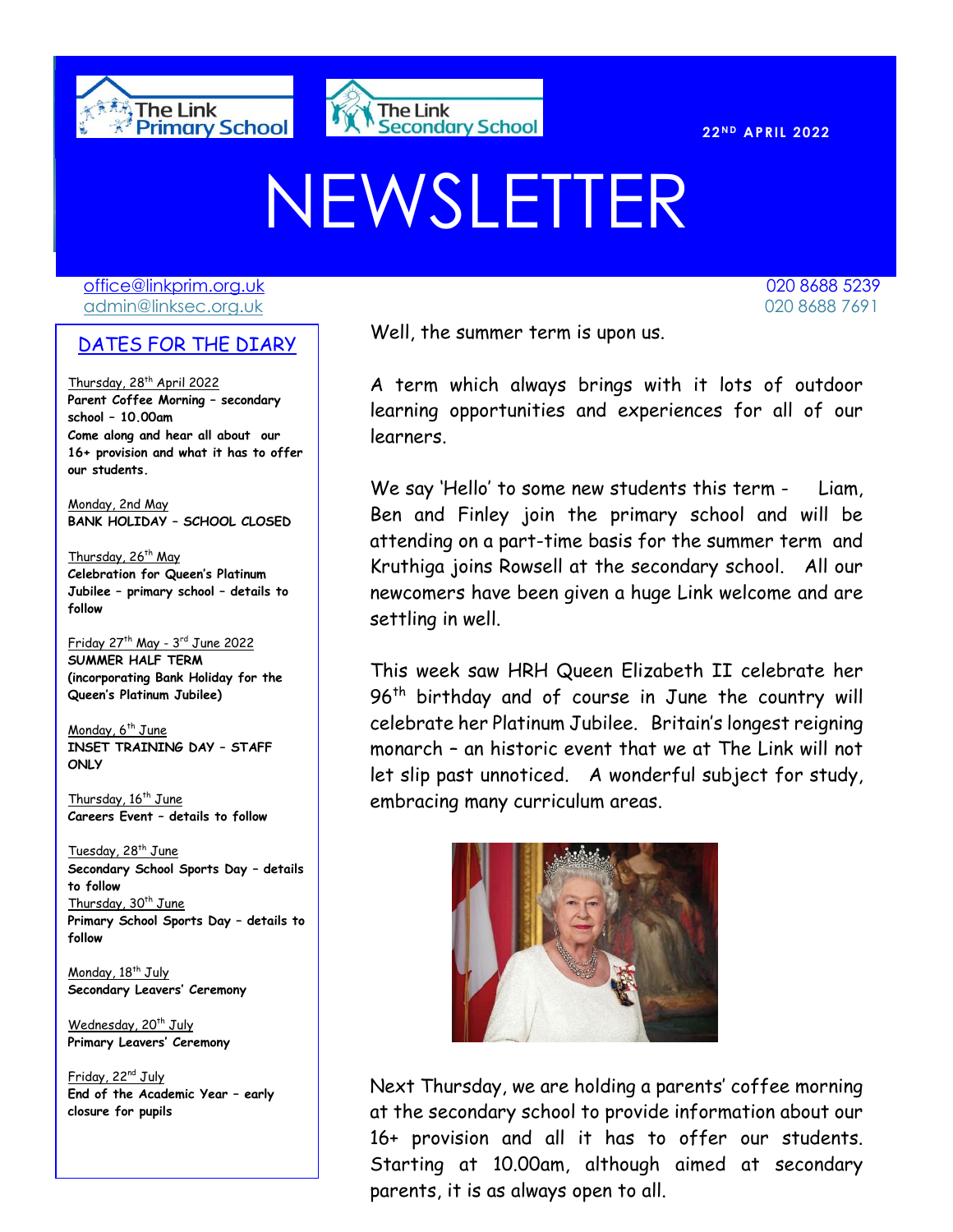



# NEWSLETTER

[office@linkprim.org.uk](mailto:office@linkprim.org.uk) 020 8688 5239 admin@linksec.org.uk 020 8688 7691

#### DATES FOR THE DIARY

Thursday, 28<sup>th</sup> April 2022 **Parent Coffee Morning – secondary school – 10.00am Come along and hear all about our 16+ provision and what it has to offer our students.**

Monday, 2nd May **BANK HOLIDAY – SCHOOL CLOSED**

Thursday, 26<sup>th</sup> May **Celebration for Queen's Platinum Jubilee – primary school – details to follow** 

Friday 27th May - 3 rd June 2022 **SUMMER HALF TERM (incorporating Bank Holiday for the Queen's Platinum Jubilee)**

Monday, 6<sup>th</sup> June **INSET TRAINING DAY – STAFF ONLY**

Thursday, 16<sup>th</sup> June **Careers Event – details to follow**

Tuesday, 28<sup>th</sup> June **Secondary School Sports Day – details to follow** Thursday,  $30<sup>th</sup>$  June **Primary School Sports Day – details to follow**

Monday, 18<sup>th</sup> July **Secondary Leavers' Ceremony**

Wednesday, 20<sup>th</sup> July **Primary Leavers' Ceremony**

Friday, 22<sup>nd</sup> July **End of the Academic Year – early closure for pupils**

 $\overline{O(1+1)}$  Well, the summer term is upon us.

A term which always brings with it lots of outdoor learning opportunities and experiences for all of our learners.

We say 'Hello' to some new students this term - Liam, Ben and Finley join the primary school and will be attending on a part-time basis for the summer term and Kruthiga joins Rowsell at the secondary school. All our newcomers have been given a huge Link welcome and are settling in well.

This week saw HRH Queen Elizabeth II celebrate her 96<sup>th</sup> birthday and of course in June the country will celebrate her Platinum Jubilee. Britain's longest reigning monarch – an historic event that we at The Link will not let slip past unnoticed. A wonderful subject for study, embracing many curriculum areas.



Next Thursday, we are holding a parents' coffee morning at the secondary school to provide information about our 16+ provision and all it has to offer our students. Starting at 10.00am, although aimed at secondary parents, it is as always open to all.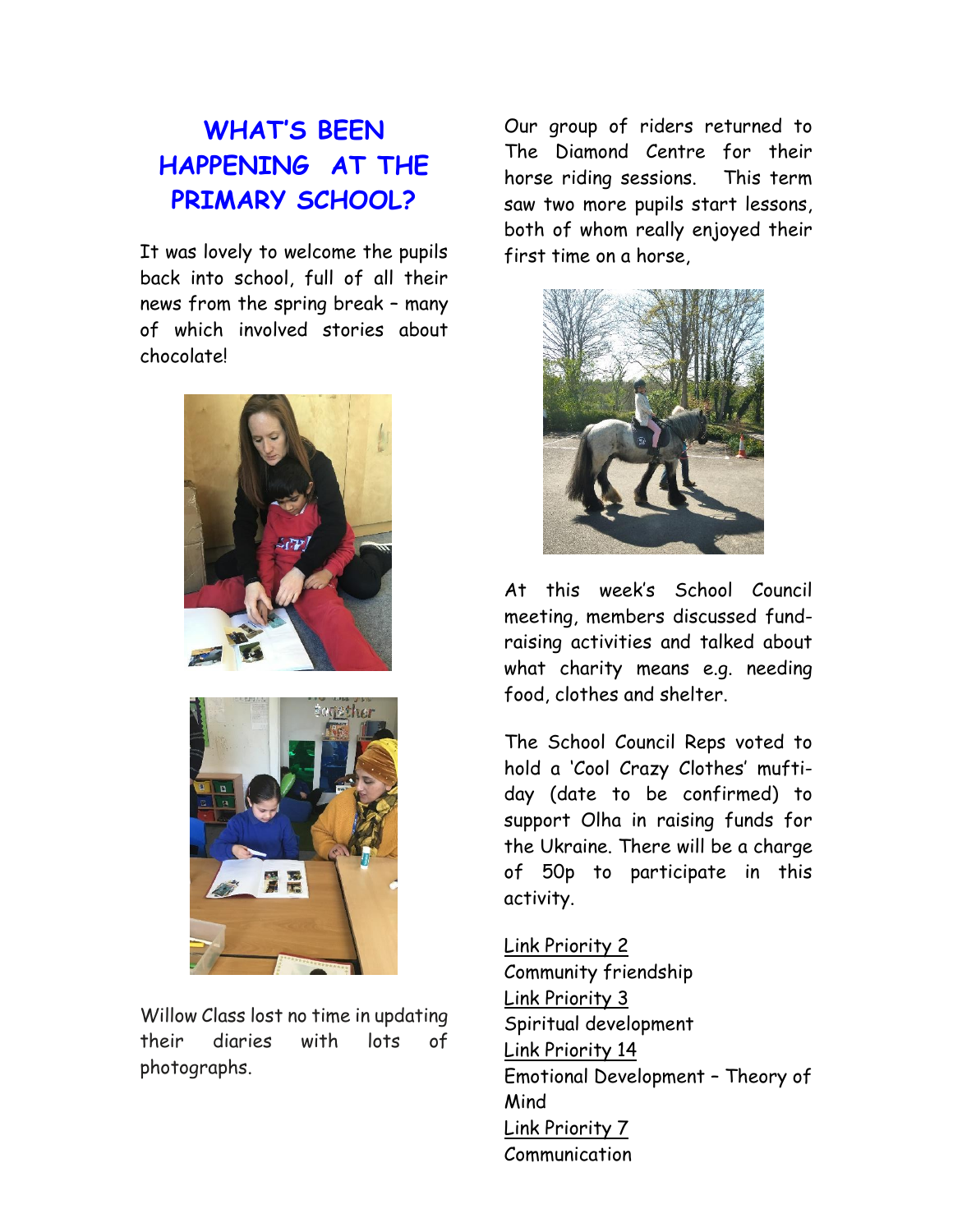# **WHAT'S BEEN HAPPENING AT THE PRIMARY SCHOOL?**

It was lovely to welcome the pupils back into school, full of all their news from the spring break – many of which involved stories about chocolate!





Willow Class lost no time in updating their diaries with lots of photographs.

Our group of riders returned to The Diamond Centre for their horse riding sessions. This term saw two more pupils start lessons, both of whom really enjoyed their first time on a horse,



At this week's School Council meeting, members discussed fundraising activities and talked about what charity means e.g. needing food, clothes and shelter.

The School Council Reps voted to hold a 'Cool Crazy Clothes' muftiday (date to be confirmed) to support Olha in raising funds for the Ukraine. There will be a charge of 50p to participate in this activity.

Link Priority 2 Community friendship Link Priority 3 Spiritual development Link Priority 14 Emotional Development – Theory of Mind Link Priority 7 Communication